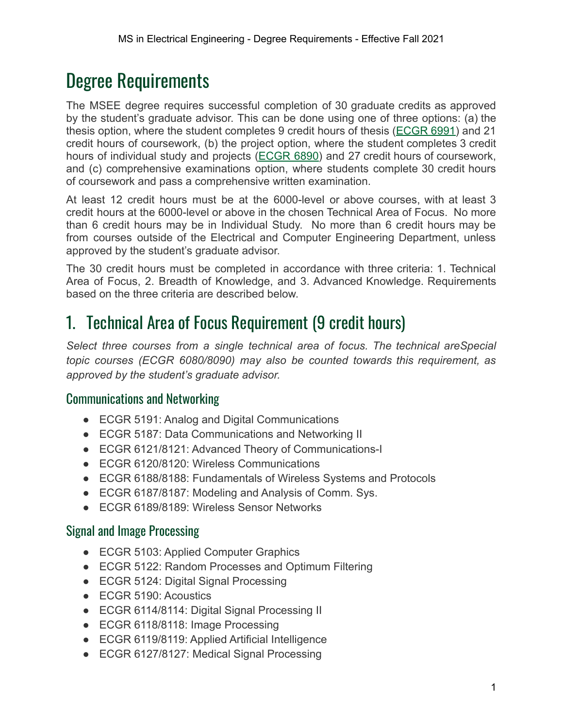# Degree Requirements

The MSEE degree requires successful completion of 30 graduate credits as approved by the student's graduate advisor. This can be done using one of three options: (a) the thesis option, where the student completes 9 credit hours of thesis ([ECGR](https://catalog.uncc.edu/preview_program.php?catoid=28&poid=7305#tt8412) 6991) and 21 credit hours of coursework, (b) the project option, where the student completes 3 credit hours of individual study and projects [\(ECGR](https://catalog.uncc.edu/preview_program.php?catoid=28&poid=7305#tt6216) 6890) and 27 credit hours of coursework, and (c) comprehensive examinations option, where students complete 30 credit hours of coursework and pass a comprehensive written examination.

At least 12 credit hours must be at the 6000-level or above courses, with at least 3 credit hours at the 6000-level or above in the chosen Technical Area of Focus. No more than 6 credit hours may be in Individual Study. No more than 6 credit hours may be from courses outside of the Electrical and Computer Engineering Department, unless approved by the student's graduate advisor.

The 30 credit hours must be completed in accordance with three criteria: 1. Technical Area of Focus, 2. Breadth of Knowledge, and 3. Advanced Knowledge. Requirements based on the three criteria are described below.

### 1. Technical Area of Focus Requirement (9 credit hours)

*Select three courses from a single technical area of focus. The technical areSpecial topic courses (ECGR 6080/8090) may also be counted towards this requirement, as approved by the student's graduate advisor.*

#### Communications and Networking

- ECGR 5191: Analog and Digital Communications
- ECGR 5187: Data Communications and Networking II
- ECGR 6121/8121: Advanced Theory of Communications-I
- ECGR 6120/8120: Wireless Communications
- ECGR 6188/8188: Fundamentals of Wireless Systems and Protocols
- ECGR 6187/8187: Modeling and Analysis of Comm. Sys.
- ECGR 6189/8189: Wireless Sensor Networks

#### Signal and Image Processing

- ECGR 5103: Applied Computer Graphics
- ECGR 5122: Random Processes and Optimum Filtering
- ECGR 5124: Digital Signal Processing
- ECGR 5190: Acoustics
- ECGR 6114/8114: Digital Signal Processing II
- ECGR 6118/8118: Image Processing
- ECGR 6119/8119: Applied Artificial Intelligence
- ECGR 6127/8127: Medical Signal Processing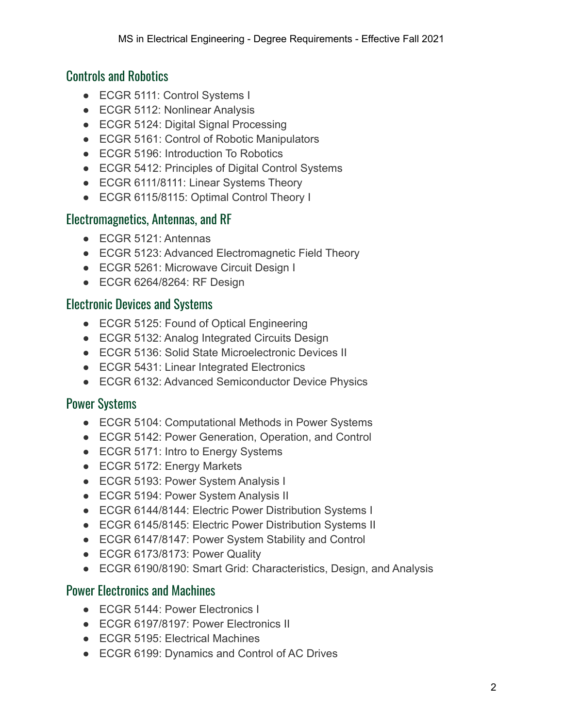#### Controls and Robotics

- ECGR 5111: Control Systems I
- ECGR 5112: Nonlinear Analysis
- ECGR 5124: Digital Signal Processing
- ECGR 5161: Control of Robotic Manipulators
- ECGR 5196: Introduction To Robotics
- ECGR 5412: Principles of Digital Control Systems
- ECGR 6111/8111: Linear Systems Theory
- ECGR 6115/8115: Optimal Control Theory I

#### Electromagnetics, Antennas, and RF

- ECGR 5121: Antennas
- ECGR 5123: Advanced Electromagnetic Field Theory
- ECGR 5261: Microwave Circuit Design I
- ECGR 6264/8264: RF Design

#### Electronic Devices and Systems

- ECGR 5125: Found of Optical Engineering
- ECGR 5132: Analog Integrated Circuits Design
- ECGR 5136: Solid State Microelectronic Devices II
- ECGR 5431: Linear Integrated Electronics
- ECGR 6132: Advanced Semiconductor Device Physics

### Power Systems

- ECGR 5104: Computational Methods in Power Systems
- ECGR 5142: Power Generation, Operation, and Control
- ECGR 5171: Intro to Energy Systems
- ECGR 5172: Energy Markets
- ECGR 5193: Power System Analysis I
- ECGR 5194: Power System Analysis II
- ECGR 6144/8144: Electric Power Distribution Systems I
- ECGR 6145/8145: Electric Power Distribution Systems II
- ECGR 6147/8147: Power System Stability and Control
- ECGR 6173/8173: Power Quality
- ECGR 6190/8190: Smart Grid: Characteristics, Design, and Analysis

#### Power Electronics and Machines

- ECGR 5144: Power Electronics I
- ECGR 6197/8197: Power Electronics II
- ECGR 5195: Electrical Machines
- ECGR 6199: Dynamics and Control of AC Drives